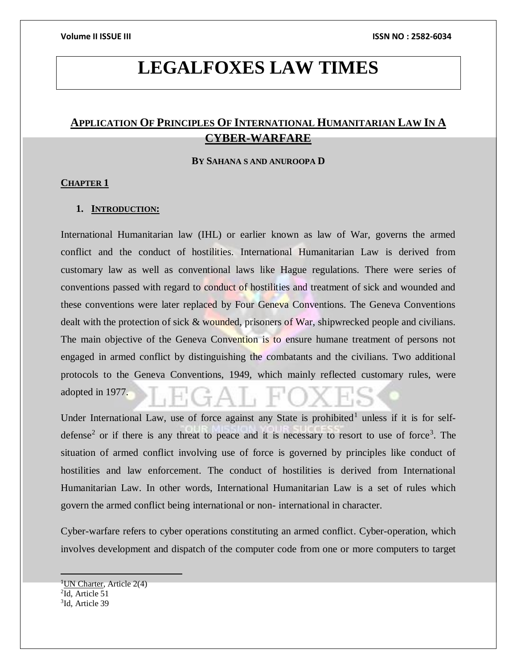# **LEGALFOXES LAW TIMES**

## **APPLICATION OF PRINCIPLES OF INTERNATIONAL HUMANITARIAN LAW IN A CYBER-WARFARE**

#### **BY SAHANA S AND ANUROOPA D**

#### **CHAPTER 1**

#### **1. INTRODUCTION:**

International Humanitarian law (IHL) or earlier known as law of War, governs the armed conflict and the conduct of hostilities. International Humanitarian Law is derived from customary law as well as conventional laws like Hague regulations. There were series of conventions passed with regard to conduct of hostilities and treatment of sick and wounded and these conventions were later replaced by Four Geneva Conventions. The Geneva Conventions dealt with the protection of sick & wounded, prisoners of War, shipwrecked people and civilians. The main objective of the Geneva Convention is to ensure humane treatment of persons not engaged in armed conflict by distinguishing the combatants and the civilians. Two additional protocols to the Geneva Conventions, 1949, which mainly reflected customary rules, were adopted in 1977.

Under International Law, use of force against any State is prohibited<sup>1</sup> unless if it is for selfdefense<sup>2</sup> or if there is any threat to peace and it is necessary to resort to use of force<sup>3</sup>. The situation of armed conflict involving use of force is governed by principles like conduct of hostilities and law enforcement. The conduct of hostilities is derived from International Humanitarian Law. In other words, International Humanitarian Law is a set of rules which govern the armed conflict being international or non- international in character.

Cyber-warfare refers to cyber operations constituting an armed conflict. Cyber-operation, which involves development and dispatch of the computer code from one or more computers to target

<sup>&</sup>lt;sup>1</sup>UN Charter, Article  $2(4)$ 2 Id, Article 51 3 Id, Article 39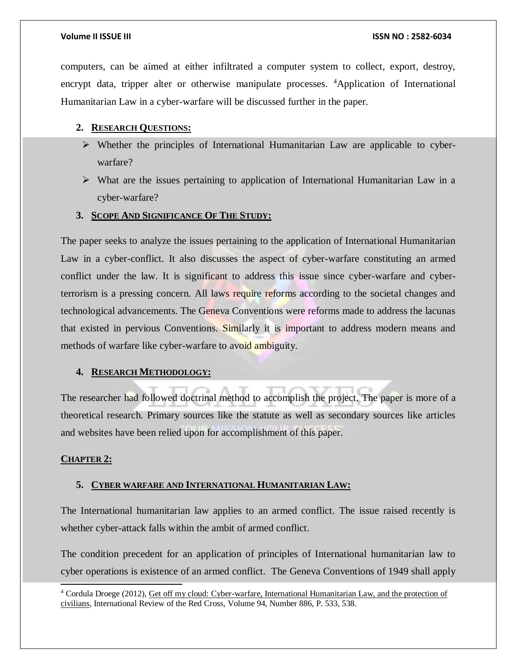computers, can be aimed at either infiltrated a computer system to collect, export, destroy, encrypt data, tripper alter or otherwise manipulate processes. <sup>4</sup>Application of International Humanitarian Law in a cyber-warfare will be discussed further in the paper.

### **2. RESEARCH QUESTIONS:**

- $\triangleright$  Whether the principles of International Humanitarian Law are applicable to cyberwarfare?
- What are the issues pertaining to application of International Humanitarian Law in a cyber-warfare?

#### **3. SCOPE AND SIGNIFICANCE OF THE STUDY:**

The paper seeks to analyze the issues pertaining to the application of International Humanitarian Law in a cyber-conflict. It also discusses the aspect of cyber-warfare constituting an armed conflict under the law. It is significant to address this issue since cyber-warfare and cyberterrorism is a pressing concern. All laws require reforms according to the societal changes and technological advancements. The Geneva Conventions were reforms made to address the lacunas that existed in pervious Conventions. Similarly it is important to address modern means and methods of warfare like cyber-warfare to avoid ambiguity.

### **4. RESEARCH METHODOLOGY:**

The researcher had followed doctrinal method to accomplish the project. The paper is more of a theoretical research. Primary sources like the statute as well as secondary sources like articles and websites have been relied upon for accomplishment of this paper.

#### **CHAPTER 2:**

l

#### **5. CYBER WARFARE AND INTERNATIONAL HUMANITARIAN LAW:**

The International humanitarian law applies to an armed conflict. The issue raised recently is whether cyber-attack falls within the ambit of armed conflict.

The condition precedent for an application of principles of International humanitarian law to cyber operations is existence of an armed conflict. The Geneva Conventions of 1949 shall apply

<sup>4</sup> Cordula Droege (2012), Get off my cloud: Cyber-warfare, International Humanitarian Law, and the protection of civilians, International Review of the Red Cross, Volume 94, Number 886, P. 533, 538.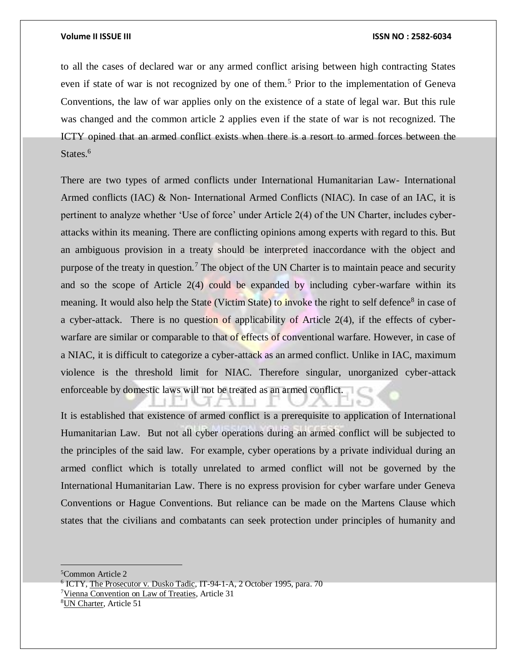#### **Volume II ISSUE III ISSN NO : 2582-6034**

to all the cases of declared war or any armed conflict arising between high contracting States even if state of war is not recognized by one of them.<sup>5</sup> Prior to the implementation of Geneva Conventions, the law of war applies only on the existence of a state of legal war. But this rule was changed and the common article 2 applies even if the state of war is not recognized. The ICTY opined that an armed conflict exists when there is a resort to armed forces between the States.<sup>6</sup>

There are two types of armed conflicts under International Humanitarian Law- International Armed conflicts (IAC) & Non- International Armed Conflicts (NIAC). In case of an IAC, it is pertinent to analyze whether 'Use of force' under Article 2(4) of the UN Charter, includes cyberattacks within its meaning. There are conflicting opinions among experts with regard to this. But an ambiguous provision in a treaty should be interpreted inaccordance with the object and purpose of the treaty in question.<sup>7</sup> The object of the UN Charter is to maintain peace and security and so the scope of Article 2(4) could be expanded by including cyber-warfare within its meaning. It would also help the State (Victim State) to invoke the right to self defence<sup>8</sup> in case of a cyber-attack. There is no question of applicability of Article 2(4), if the effects of cyberwarfare are similar or comparable to that of effects of conventional warfare. However, in case of a NIAC, it is difficult to categorize a cyber-attack as an armed conflict. Unlike in IAC, maximum violence is the threshold limit for NIAC. Therefore singular, unorganized cyber-attack enforceable by domestic laws will not be treated as an armed conflict.

It is established that existence of armed conflict is a prerequisite to application of International Humanitarian Law. But not all cyber operations during an armed conflict will be subjected to the principles of the said law. For example, cyber operations by a private individual during an armed conflict which is totally unrelated to armed conflict will not be governed by the International Humanitarian Law. There is no express provision for cyber warfare under Geneva Conventions or Hague Conventions. But reliance can be made on the Martens Clause which states that the civilians and combatants can seek protection under principles of humanity and

<sup>5</sup>Common Article 2

<sup>6</sup> ICTY, The Prosecutor v. Dusko Tadic, IT-94-1-A, 2 October 1995, para. 70

<sup>&</sup>lt;sup>7</sup>Vienna Convention on Law of Treaties, Article 31

<sup>8</sup>UN Charter, Article 51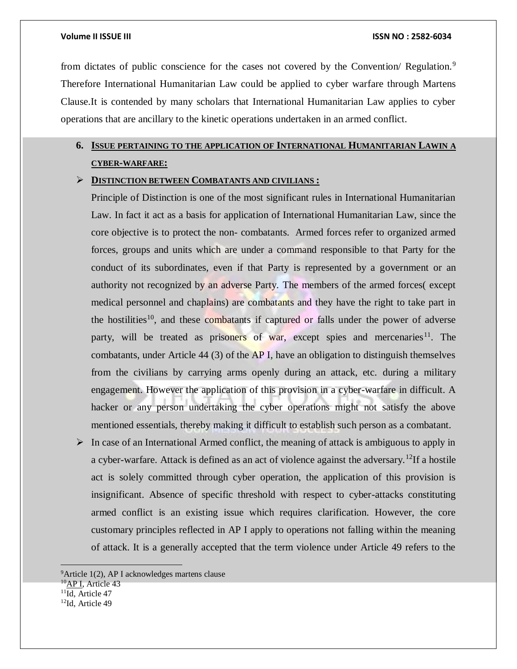from dictates of public conscience for the cases not covered by the Convention/ Regulation.<sup>9</sup> Therefore International Humanitarian Law could be applied to cyber warfare through Martens Clause.It is contended by many scholars that International Humanitarian Law applies to cyber operations that are ancillary to the kinetic operations undertaken in an armed conflict.

## **6. ISSUE PERTAINING TO THE APPLICATION OF INTERNATIONAL HUMANITARIAN LAWIN A CYBER-WARFARE:**

### **DISTINCTION BETWEEN COMBATANTS AND CIVILIANS :**

Principle of Distinction is one of the most significant rules in International Humanitarian Law. In fact it act as a basis for application of International Humanitarian Law, since the core objective is to protect the non- combatants. Armed forces refer to organized armed forces, groups and units which are under a command responsible to that Party for the conduct of its subordinates, even if that Party is represented by a government or an authority not recognized by an adverse Party. The members of the armed forces( except medical personnel and chaplains) are combatants and they have the right to take part in the hostilities<sup>10</sup>, and these combatants if captured or falls under the power of adverse party, will be treated as prisoners of war, except spies and mercenaries<sup>11</sup>. The combatants, under Article 44 (3) of the  $AP$  I, have an obligation to distinguish themselves from the civilians by carrying arms openly during an attack, etc. during a military engagement. However the application of this provision in a cyber-warfare in difficult. A hacker or any person undertaking the cyber operations might not satisfy the above mentioned essentials, thereby making it difficult to establish such person as a combatant.

 $\triangleright$  In case of an International Armed conflict, the meaning of attack is ambiguous to apply in a cyber-warfare. Attack is defined as an act of violence against the adversary.<sup>12</sup>If a hostile act is solely committed through cyber operation, the application of this provision is insignificant. Absence of specific threshold with respect to cyber-attacks constituting armed conflict is an existing issue which requires clarification. However, the core customary principles reflected in AP I apply to operations not falling within the meaning of attack. It is a generally accepted that the term violence under Article 49 refers to the

 $9$ Article 1(2), AP I acknowledges martens clause

<sup>&</sup>lt;sup>10</sup>AP I, Article 43

<sup>&</sup>lt;sup>11</sup>Id, Article 47

<sup>&</sup>lt;sup>12</sup>Id. Article 49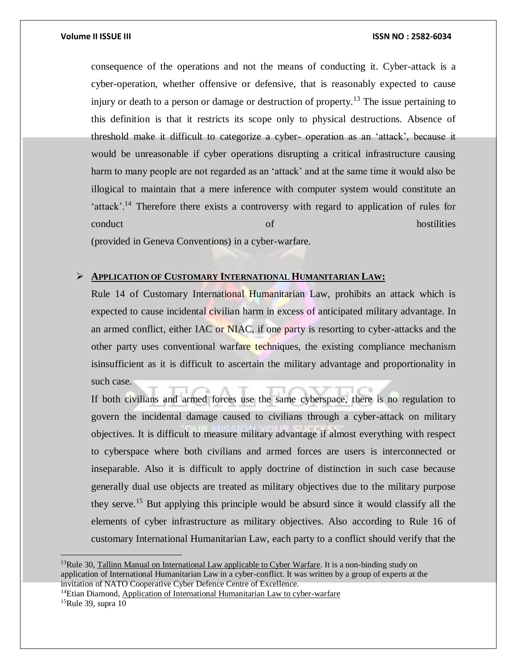consequence of the operations and not the means of conducting it. Cyber-attack is a cyber-operation, whether offensive or defensive, that is reasonably expected to cause injury or death to a person or damage or destruction of property.<sup>13</sup> The issue pertaining to this definition is that it restricts its scope only to physical destructions. Absence of threshold make it difficult to categorize a cyber- operation as an 'attack', because it would be unreasonable if cyber operations disrupting a critical infrastructure causing harm to many people are not regarded as an 'attack' and at the same time it would also be illogical to maintain that a mere inference with computer system would constitute an 'attack'.<sup>14</sup> Therefore there exists a controversy with regard to application of rules for conduct conduct conduct conduct conduct  $\alpha$  hostilities  $\alpha$ (provided in Geneva Conventions) in a cyber-warfare.

#### **APPLICATION OF CUSTOMARY INTERNATIONAL HUMANITARIAN LAW:**

Rule 14 of Customary International Humanitarian Law, prohibits an attack which is expected to cause incidental civilian harm in excess of anticipated military advantage. In an armed conflict, either IAC or NIAC, if one party is resorting to cyber-attacks and the other party uses conventional warfare techniques, the existing compliance mechanism isinsufficient as it is difficult to ascertain the military advantage and proportionality in such case.

If both civilians and armed forces use the same cyberspace, there is no regulation to govern the incidental damage caused to civilians through a cyber-attack on military objectives. It is difficult to measure military advantage if almost everything with respect to cyberspace where both civilians and armed forces are users is interconnected or inseparable. Also it is difficult to apply doctrine of distinction in such case because generally dual use objects are treated as military objectives due to the military purpose they serve.<sup>15</sup> But applying this principle would be absurd since it would classify all the elements of cyber infrastructure as military objectives. Also according to Rule 16 of customary International Humanitarian Law, each party to a conflict should verify that the

 $\overline{a}$ 

 $13$ Rule 30, Tallinn Manual on International Law applicable to Cyber Warfare. It is a non-binding study on application of International Humanitarian Law in a cyber-conflict. It was written by a group of experts at the invitation of NATO Cooperative Cyber Defence Centre of Excellence.

<sup>&</sup>lt;sup>14</sup>Etian Diamond, Application of International Humanitarian Law to cyber-warfare

<sup>15</sup>Rule 39, supra 10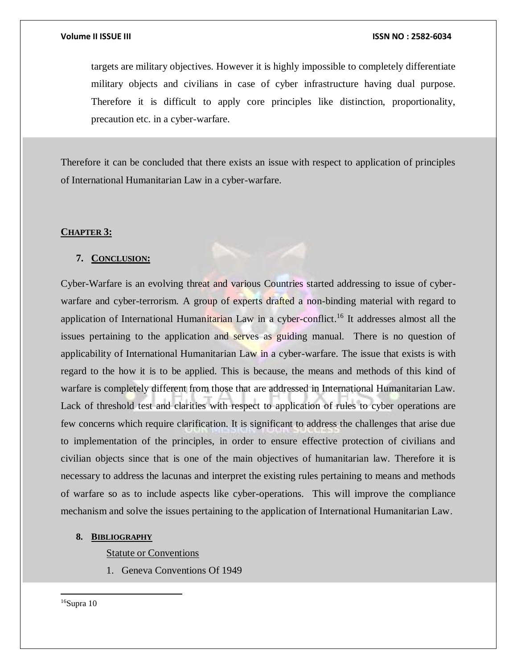targets are military objectives. However it is highly impossible to completely differentiate military objects and civilians in case of cyber infrastructure having dual purpose. Therefore it is difficult to apply core principles like distinction, proportionality, precaution etc. in a cyber-warfare.

Therefore it can be concluded that there exists an issue with respect to application of principles of International Humanitarian Law in a cyber-warfare.

### **CHAPTER 3:**

### **7. CONCLUSION:**

Cyber-Warfare is an evolving threat and various Countries started addressing to issue of cyberwarfare and cyber-terrorism. A group of experts drafted a non-binding material with regard to application of International Humanitarian Law in a cyber-conflict.<sup>16</sup> It addresses almost all the issues pertaining to the application and serves as guiding manual. There is no question of applicability of International Humanitarian Law in a cyber-warfare. The issue that exists is with regard to the how it is to be applied. This is because, the means and methods of this kind of warfare is completely different from those that are addressed in International Humanitarian Law. Lack of threshold test and clarities with respect to application of rules to cyber operations are few concerns which require clarification. It is significant to address the challenges that arise due to implementation of the principles, in order to ensure effective protection of civilians and civilian objects since that is one of the main objectives of humanitarian law. Therefore it is necessary to address the lacunas and interpret the existing rules pertaining to means and methods of warfare so as to include aspects like cyber-operations. This will improve the compliance mechanism and solve the issues pertaining to the application of International Humanitarian Law.

#### **8. BIBLIOGRAPHY**

Statute or Conventions

1. Geneva Conventions Of 1949

 $16$ Supra 10

 $\overline{a}$